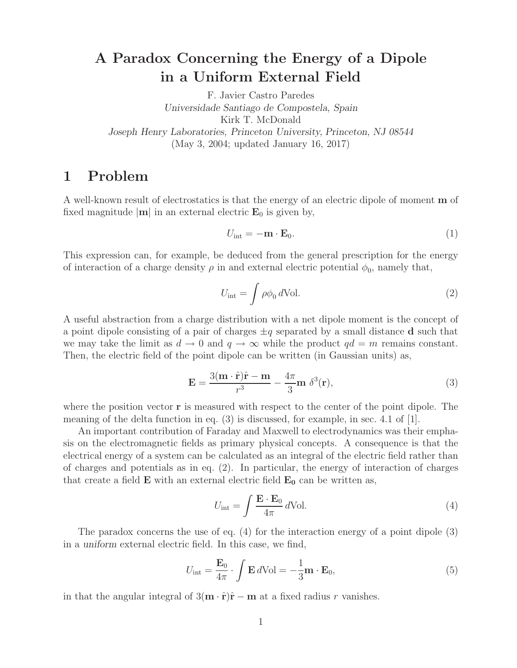## **A Paradox Concerning the Energy of a Dipole in a Uniform External Field**

F. Javier Castro Paredes *Universidade Santiago de Compostela, Spain* Kirk T. McDonald *Joseph Henry Laboratories, Princeton University, Princeton, NJ 08544* (May 3, 2004; updated January 16, 2017)

## **1 Problem**

A well-known result of electrostatics is that the energy of an electric dipole of moment **m** of fixed magnitude  $|\mathbf{m}|$  in an external electric  $\mathbf{E}_0$  is given by,

$$
U_{\rm int} = -\mathbf{m} \cdot \mathbf{E}_0. \tag{1}
$$

This expression can, for example, be deduced from the general prescription for the energy of interaction of a charge density  $\rho$  in and external electric potential  $\phi_0$ , namely that,

$$
U_{\rm int} = \int \rho \phi_0 \, d\text{Vol}.
$$
 (2)

A useful abstraction from a charge distribution with a net dipole moment is the concept of a point dipole consisting of a pair of charges  $\pm q$  separated by a small distance **d** such that we may take the limit as  $d \to 0$  and  $q \to \infty$  while the product  $qd = m$  remains constant. Then, the electric field of the point dipole can be written (in Gaussian units) as,

$$
\mathbf{E} = \frac{3(\mathbf{m} \cdot \hat{\mathbf{r}})\hat{\mathbf{r}} - \mathbf{m}}{r^3} - \frac{4\pi}{3}\mathbf{m} \delta^3(\mathbf{r}),\tag{3}
$$

where the position vector **r** is measured with respect to the center of the point dipole. The meaning of the delta function in eq.  $(3)$  is discussed, for example, in sec. 4.1 of [1].

An important contribution of Faraday and Maxwell to electrodynamics was their emphasis on the electromagnetic fields as primary physical concepts. A consequence is that the electrical energy of a system can be calculated as an integral of the electric field rather than of charges and potentials as in eq. (2). In particular, the energy of interaction of charges that create a field  $\bf{E}$  with an external electric field  $\bf{E}_0$  can be written as,

$$
U_{\rm int} = \int \frac{\mathbf{E} \cdot \mathbf{E}_0}{4\pi} \, d\text{Vol.} \tag{4}
$$

The paradox concerns the use of eq. (4) for the interaction energy of a point dipole (3) in a *uniform* external electric field. In this case, we find,

$$
U_{\text{int}} = \frac{\mathbf{E}_0}{4\pi} \cdot \int \mathbf{E} \, d\text{Vol} = -\frac{1}{3} \mathbf{m} \cdot \mathbf{E}_0,\tag{5}
$$

in that the angular integral of  $3(\mathbf{m} \cdot \hat{\mathbf{r}})\hat{\mathbf{r}} - \mathbf{m}$  at a fixed radius r vanishes.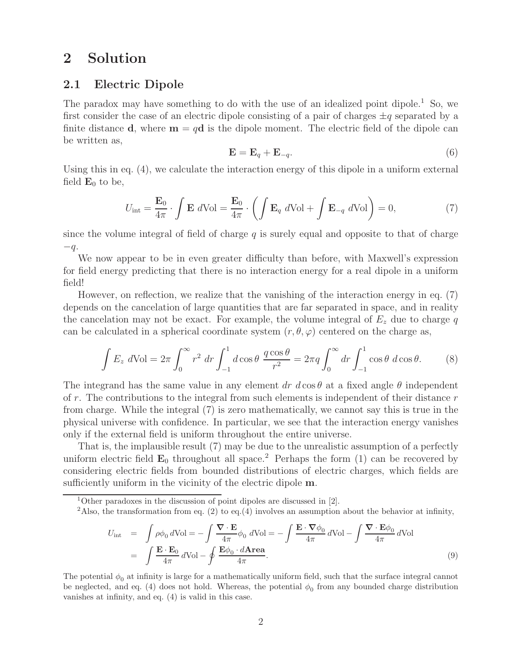## **2 Solution**

### **2.1 Electric Dipole**

The paradox may have something to do with the use of an idealized point dipole.<sup>1</sup> So, we first consider the case of an electric dipole consisting of a pair of charges  $\pm q$  separated by a finite distance **d**, where  $\mathbf{m} = q\mathbf{d}$  is the dipole moment. The electric field of the dipole can be written as,

$$
\mathbf{E} = \mathbf{E}_q + \mathbf{E}_{-q}.\tag{6}
$$

Using this in eq. (4), we calculate the interaction energy of this dipole in a uniform external field  $\mathbf{E}_0$  to be,

$$
U_{\text{int}} = \frac{\mathbf{E}_0}{4\pi} \cdot \int \mathbf{E} \ d\text{Vol} = \frac{\mathbf{E}_0}{4\pi} \cdot \left( \int \mathbf{E}_q \ d\text{Vol} + \int \mathbf{E}_{-q} \ d\text{Vol} \right) = 0,\tag{7}
$$

since the volume integral of field of charge  $q$  is surely equal and opposite to that of charge  $-q$ .

We now appear to be in even greater difficulty than before, with Maxwell's expression for field energy predicting that there is no interaction energy for a real dipole in a uniform field!

However, on reflection, we realize that the vanishing of the interaction energy in eq. (7) depends on the cancelation of large quantities that are far separated in space, and in reality the cancelation may not be exact. For example, the volume integral of  $E<sub>z</sub>$  due to charge q can be calculated in a spherical coordinate system  $(r, \theta, \varphi)$  centered on the charge as,

$$
\int E_z d\text{Vol} = 2\pi \int_0^\infty r^2 dr \int_{-1}^1 d\cos\theta \frac{q\cos\theta}{r^2} = 2\pi q \int_0^\infty dr \int_{-1}^1 \cos\theta d\cos\theta.
$$
 (8)

The integrand has the same value in any element dr  $d\cos\theta$  at a fixed angle  $\theta$  independent of r. The contributions to the integral from such elements is independent of their distance  $r$ from charge. While the integral (7) is zero mathematically, we cannot say this is true in the physical universe with confidence. In particular, we see that the interaction energy vanishes only if the external field is uniform throughout the entire universe.

That is, the implausible result (7) may be due to the unrealistic assumption of a perfectly uniform electric field  $\mathbf{E}_0$  throughout all space.<sup>2</sup> Perhaps the form (1) can be recovered by considering electric fields from bounded distributions of electric charges, which fields are sufficiently uniform in the vicinity of the electric dipole **m**.

$$
U_{\text{int}} = \int \rho \phi_0 \, d\text{Vol} = -\int \frac{\nabla \cdot \mathbf{E}}{4\pi} \phi_0 \, d\text{Vol} = -\int \frac{\mathbf{E} \cdot \nabla \phi_0}{4\pi} \, d\text{Vol} - \int \frac{\nabla \cdot \mathbf{E} \phi_0}{4\pi} \, d\text{Vol} = \int \frac{\mathbf{E} \cdot \mathbf{E} \phi_0}{4\pi} \, d\text{Vol} - \int \frac{\mathbf{E} \cdot \mathbf{E} \phi_0}{4\pi} \, d\text{Vol} = \int \frac{\mathbf{E} \cdot \mathbf{E} \phi_0}{4\pi} \, d\text{Vol} - \int \frac{\mathbf{E} \cdot \mathbf{E} \phi_0}{4\pi} \, d\text{Vol}
$$
\n(9)

The potential  $\phi_0$  at infinity is large for a mathematically uniform field, such that the surface integral cannot be neglected, and eq. (4) does not hold. Whereas, the potential  $\phi_0$  from any bounded charge distribution vanishes at infinity, and eq. (4) is valid in this case.

<sup>&</sup>lt;sup>1</sup>Other paradoxes in the discussion of point dipoles are discussed in [2].

<sup>&</sup>lt;sup>2</sup>Also, the transformation from eq. (2) to eq. (4) involves an assumption about the behavior at infinity,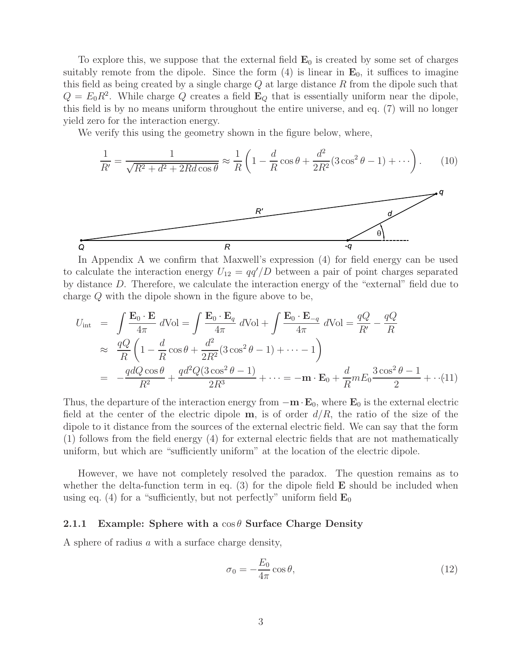To explore this, we suppose that the external field **E**<sup>0</sup> is created by some set of charges suitably remote from the dipole. Since the form  $(4)$  is linear in  $\mathbf{E}_0$ , it suffices to imagine this field as being created by a single charge  $Q$  at large distance  $R$  from the dipole such that  $Q = E_0 R^2$ . While charge Q creates a field  $\mathbf{E}_Q$  that is essentially uniform near the dipole, this field is by no means uniform throughout the entire universe, and eq. (7) will no longer yield zero for the interaction energy.

We verify this using the geometry shown in the figure below, where,

 $\boldsymbol{R}$ 

$$
\frac{1}{R'} = \frac{1}{\sqrt{R^2 + d^2 + 2Rd\cos\theta}} \approx \frac{1}{R} \left( 1 - \frac{d}{R}\cos\theta + \frac{d^2}{2R^2} (3\cos^2\theta - 1) + \cdots \right). \tag{10}
$$

In Appendix A we confirm that Maxwell's expression (4) for field energy can be used to calculate the interaction energy  $U_{12} = \frac{qq'}{D}$  between a pair of point charges separated by distance D. Therefore, we calculate the interaction energy of the "external" field due to charge Q with the dipole shown in the figure above to be,

$$
U_{int} = \int \frac{\mathbf{E}_0 \cdot \mathbf{E}}{4\pi} d\text{Vol} = \int \frac{\mathbf{E}_0 \cdot \mathbf{E}_q}{4\pi} d\text{Vol} + \int \frac{\mathbf{E}_0 \cdot \mathbf{E}_{-q}}{4\pi} d\text{Vol} = \frac{qQ}{R'} - \frac{qQ}{R}
$$
  
\n
$$
\approx \frac{qQ}{R} \left( 1 - \frac{d}{R} \cos \theta + \frac{d^2}{2R^2} (3 \cos^2 \theta - 1) + \dots - 1 \right)
$$
  
\n
$$
= -\frac{qdQ \cos \theta}{R^2} + \frac{qd^2Q(3 \cos^2 \theta - 1)}{2R^3} + \dots = -\mathbf{m} \cdot \mathbf{E}_0 + \frac{d}{R} mE_0 \frac{3 \cos^2 \theta - 1}{2} + \dots (11)
$$

Thus, the departure of the interaction energy from  $-\mathbf{m} \cdot \mathbf{E}_0$ , where  $\mathbf{E}_0$  is the external electric field at the center of the electric dipole  $\mathbf{m}$ , is of order  $d/R$ , the ratio of the size of the dipole to it distance from the sources of the external electric field. We can say that the form (1) follows from the field energy (4) for external electric fields that are not mathematically uniform, but which are "sufficiently uniform" at the location of the electric dipole.

However, we have not completely resolved the paradox. The question remains as to whether the delta-function term in eq. (3) for the dipole field **E** should be included when using eq. (4) for a "sufficiently, but not perfectly" uniform field  $\mathbf{E}_0$ 

#### **2.1.1 Example: Sphere with a** cos θ **Surface Charge Density**

A sphere of radius a with a surface charge density,

 $\overline{Q}$ 

$$
\sigma_0 = -\frac{E_0}{4\pi} \cos \theta,\tag{12}
$$

-q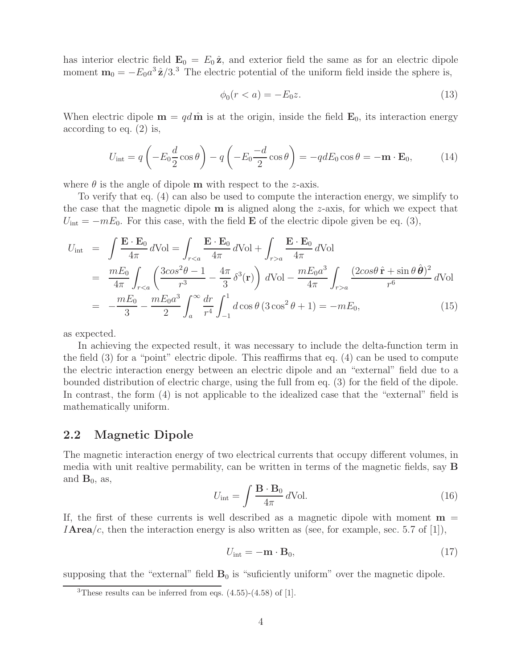has interior electric field  $\mathbf{E}_0 = E_0 \hat{\mathbf{z}}$ , and exterior field the same as for an electric dipole moment  $\mathbf{m}_0 = -E_0 a^3 \hat{\mathbf{z}} / 3$ <sup>3</sup>. The electric potential of the uniform field inside the sphere is,

$$
\phi_0(r < a) = -E_0 z. \tag{13}
$$

When electric dipole  $\mathbf{m} = qd\hat{\mathbf{m}}$  is at the origin, inside the field  $\mathbf{E}_0$ , its interaction energy according to eq. (2) is,

$$
U_{\text{int}} = q \left( -E_0 \frac{d}{2} \cos \theta \right) - q \left( -E_0 \frac{-d}{2} \cos \theta \right) = -q dE_0 \cos \theta = -\mathbf{m} \cdot \mathbf{E}_0, \quad (14)
$$

where  $\theta$  is the angle of dipole **m** with respect to the *z*-axis.

To verify that eq. (4) can also be used to compute the interaction energy, we simplify to the case that the magnetic dipole **m** is aligned along the z-axis, for which we expect that  $U_{\text{int}} = -mE_0$ . For this case, with the field **E** of the electric dipole given be eq. (3),

$$
U_{\text{int}} = \int \frac{\mathbf{E} \cdot \mathbf{E}_0}{4\pi} d\text{Vol} = \int_{r < a} \frac{\mathbf{E} \cdot \mathbf{E}_0}{4\pi} d\text{Vol} + \int_{r > a} \frac{\mathbf{E} \cdot \mathbf{E}_0}{4\pi} d\text{Vol}
$$
\n
$$
= \frac{mE_0}{4\pi} \int_{r < a} \left( \frac{3\cos^2\theta - 1}{r^3} - \frac{4\pi}{3} \delta^3(\mathbf{r}) \right) d\text{Vol} - \frac{mE_0 a^3}{4\pi} \int_{r > a} \frac{(2\cos\theta \,\hat{\mathbf{r}} + \sin\theta \,\hat{\boldsymbol{\theta}})^2}{r^6} d\text{Vol}
$$
\n
$$
= -\frac{mE_0}{3} - \frac{mE_0 a^3}{2} \int_a^\infty \frac{dr}{r^4} \int_{-1}^1 d\cos\theta \, (3\cos^2\theta + 1) = -mE_0,\tag{15}
$$

as expected.

In achieving the expected result, it was necessary to include the delta-function term in the field (3) for a "point" electric dipole. This reaffirms that eq. (4) can be used to compute the electric interaction energy between an electric dipole and an "external" field due to a bounded distribution of electric charge, using the full from eq. (3) for the field of the dipole. In contrast, the form (4) is not applicable to the idealized case that the "external" field is mathematically uniform.

## **2.2 Magnetic Dipole**

The magnetic interaction energy of two electrical currents that occupy different volumes, in media with unit realtive permability, can be written in terms of the magnetic fields, say **B** and  $\mathbf{B}_0$ , as,

$$
U_{\rm int} = \int \frac{\mathbf{B} \cdot \mathbf{B}_0}{4\pi} \, d\text{Vol.} \tag{16}
$$

If, the first of these currents is well described as a magnetic dipole with moment  $\mathbf{m} =$ **IArea**/c, then the interaction energy is also written as (see, for example, sec. 5.7 of [1]),

$$
U_{\rm int} = -\mathbf{m} \cdot \mathbf{B}_0,\tag{17}
$$

supposing that the "external" field  $\mathbf{B}_0$  is "suficiently uniform" over the magnetic dipole.

<sup>&</sup>lt;sup>3</sup>These results can be inferred from eqs.  $(4.55)-(4.58)$  of [1].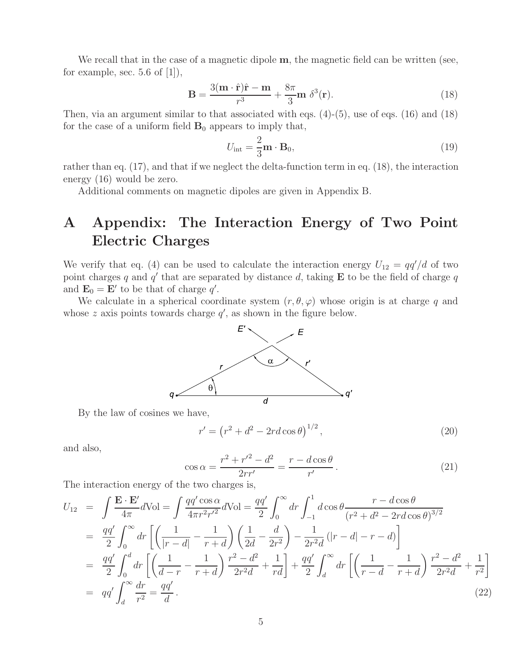We recall that in the case of a magnetic dipole **m**, the magnetic field can be written (see, for example, sec.  $5.6$  of  $[1]$ ),

$$
\mathbf{B} = \frac{3(\mathbf{m} \cdot \hat{\mathbf{r}})\hat{\mathbf{r}} - \mathbf{m}}{r^3} + \frac{8\pi}{3}\mathbf{m} \delta^3(\mathbf{r}).
$$
 (18)

Then, via an argument similar to that associated with eqs.  $(4)-(5)$ , use of eqs.  $(16)$  and  $(18)$ for the case of a uniform field  $\mathbf{B}_0$  appears to imply that,

$$
U_{\rm int} = \frac{2}{3} \mathbf{m} \cdot \mathbf{B}_0, \tag{19}
$$

rather than eq. (17), and that if we neglect the delta-function term in eq. (18), the interaction energy (16) would be zero.

Additional comments on magnetic dipoles are given in Appendix B.

# **A Appendix: The Interaction Energy of Two Point Electric Charges**

We verify that eq. (4) can be used to calculate the interaction energy  $U_{12} = \frac{qq'}{d}$  of two point charges q and  $q'$  that are separated by distance d, taking **E** to be the field of charge q and  $\mathbf{E}_0 = \mathbf{E}'$  to be that of charge q'.

We calculate in a spherical coordinate system  $(r, \theta, \varphi)$  whose origin is at charge q and whose  $z$  axis points towards charge  $q'$ , as shown in the figure below.



By the law of cosines we have,

$$
r' = (r^2 + d^2 - 2rd\cos\theta)^{1/2},
$$
\n(20)

and also,

$$
\cos \alpha = \frac{r^2 + {r'}^2 - d^2}{2rr'} = \frac{r - d\cos\theta}{r'}.
$$
\n(21)

The interaction energy of the two charges is,

$$
U_{12} = \int \frac{\mathbf{E} \cdot \mathbf{E}'}{4\pi} d\text{Vol} = \int \frac{qq' \cos \alpha}{4\pi r^2 r'^2} d\text{Vol} = \frac{qq'}{2} \int_0^\infty dr \int_{-1}^1 d\cos \theta \frac{r - d\cos \theta}{(r^2 + d^2 - 2rd\cos \theta)^{3/2}}
$$
  
\n
$$
= \frac{qq'}{2} \int_0^\infty dr \left[ \left( \frac{1}{|r - d|} - \frac{1}{r + d} \right) \left( \frac{1}{2d} - \frac{d}{2r^2} \right) - \frac{1}{2r^2 d} (|r - d| - r - d) \right]
$$
  
\n
$$
= \frac{qq'}{2} \int_0^d dr \left[ \left( \frac{1}{d - r} - \frac{1}{r + d} \right) \frac{r^2 - d^2}{2r^2 d} + \frac{1}{rd} \right] + \frac{qq'}{2} \int_d^\infty dr \left[ \left( \frac{1}{r - d} - \frac{1}{r + d} \right) \frac{r^2 - d^2}{2r^2 d} + \frac{1}{r^2} \right]
$$
  
\n
$$
= qq' \int_d^\infty \frac{dr}{r^2} = \frac{qq'}{d}.
$$
 (22)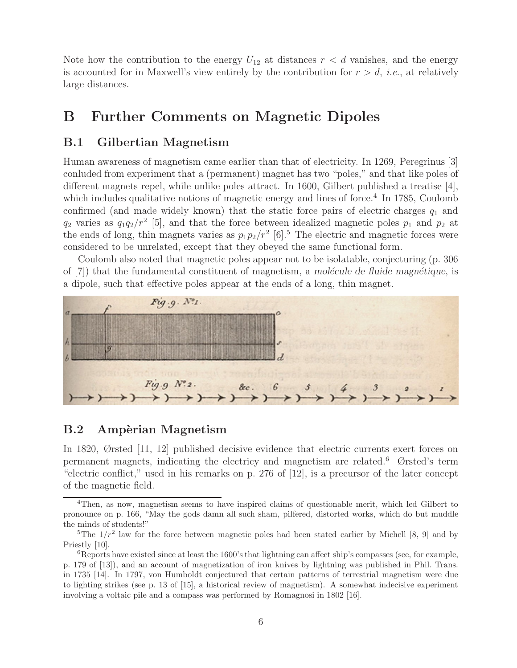Note how the contribution to the energy  $U_{12}$  at distances  $r < d$  vanishes, and the energy is accounted for in Maxwell's view entirely by the contribution for  $r>d$ , *i.e.*, at relatively large distances.

## **B Further Comments on Magnetic Dipoles**

## **B.1 Gilbertian Magnetism**

Human awareness of magnetism came earlier than that of electricity. In 1269, Peregrinus [3] conluded from experiment that a (permanent) magnet has two "poles," and that like poles of different magnets repel, while unlike poles attract. In 1600, Gilbert published a treatise  $[4]$ , which includes qualitative notions of magnetic energy and lines of force.<sup>4</sup> In 1785, Coulomb confirmed (and made widely known) that the static force pairs of electric charges  $q_1$  and  $q_2$  varies as  $q_1q_2/r^2$  [5], and that the force between idealized magnetic poles  $p_1$  and  $p_2$  at the ends of long, thin magnets varies as  $p_1p_2/r^2$  [6].<sup>5</sup> The electric and magnetic forces were considered to be unrelated, except that they obeyed the same functional form.

Coulomb also noted that magnetic poles appear not to be isolatable, conjecturing (p. 306 of [7]) that the fundamental constituent of magnetism, a *molécule de fluide magnétique*, is a dipole, such that effective poles appear at the ends of a long, thin magnet.



## **B.2** Ampèrian Magnetism

In 1820, Ørsted [11, 12] published decisive evidence that electric currents exert forces on permanent magnets, indicating the electricy and magnetism are related.<sup>6</sup> Ørsted's term "electric conflict," used in his remarks on p. 276 of [12], is a precursor of the later concept of the magnetic field.

<sup>4</sup>Then, as now, magnetism seems to have inspired claims of questionable merit, which led Gilbert to pronounce on p. 166, "May the gods damn all such sham, pilfered, distorted works, which do but muddle the minds of students!"

<sup>&</sup>lt;sup>5</sup>The  $1/r^2$  law for the force between magnetic poles had been stated earlier by Michell [8, 9] and by Priestly [10].

 ${}^{6}$ Reports have existed since at least the 1600's that lightning can affect ship's compasses (see, for example, p. 179 of [13]), and an account of magnetization of iron knives by lightning was published in Phil. Trans. in 1735 [14]. In 1797, von Humboldt conjectured that certain patterns of terrestrial magnetism were due to lighting strikes (see p. 13 of [15], a historical review of magnetism). A somewhat indecisive experiment involving a voltaic pile and a compass was performed by Romagnosi in 1802 [16].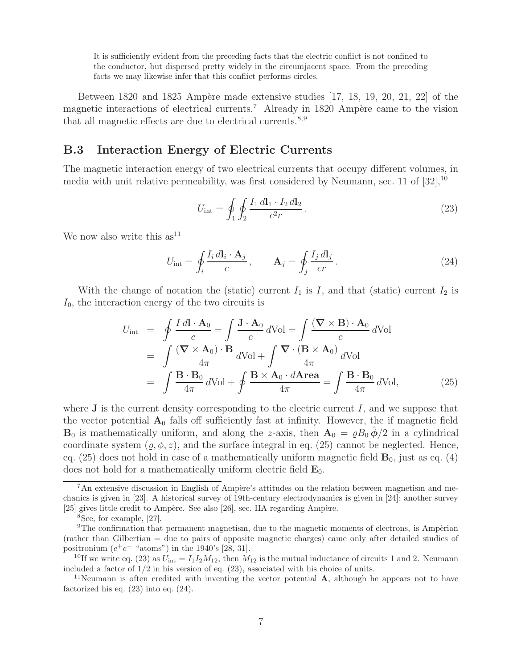It is sufficiently evident from the preceding facts that the electric conflict is not confined to the conductor, but dispersed pretty widely in the circumjacent space. From the preceding facts we may likewise infer that this conflict performs circles.

Between 1820 and 1825 Ampère made extensive studies  $[17, 18, 19, 20, 21, 22]$  of the magnetic interactions of electrical currents.<sup>7</sup> Already in 1820 Ampère came to the vision that all magnetic effects are due to electrical currents.<sup>8,9</sup>

## **B.3 Interaction Energy of Electric Currents**

The magnetic interaction energy of two electrical currents that occupy different volumes, in media with unit relative permeability, was first considered by Neumann, sec. 11 of  $[32]$ ,  $^{10}$ 

$$
U_{\rm int} = \oint_1 \oint_2 \frac{I_1 \, dI_1 \cdot I_2 \, dI_2}{c^2 r} \,. \tag{23}
$$

We now also write this  $as<sup>11</sup>$ 

$$
U_{\rm int} = \oint_i \frac{I_i \, d\mathbf{l}_i \cdot \mathbf{A}_j}{c}, \qquad \mathbf{A}_j = \oint_j \frac{I_j \, d\mathbf{l}_j}{cr}.
$$
 (24)

With the change of notation the (static) current  $I_1$  is I, and that (static) current  $I_2$  is  $I_0$ , the interaction energy of the two circuits is

$$
U_{int} = \oint \frac{Idl \cdot A_0}{c} = \int \frac{J \cdot A_0}{c} dVol = \int \frac{(\nabla \times B) \cdot A_0}{c} dVol
$$
  
= 
$$
\int \frac{(\nabla \times A_0) \cdot B}{4\pi} dVol + \int \frac{\nabla \cdot (B \times A_0)}{4\pi} dVol
$$
  
= 
$$
\int \frac{B \cdot B_0}{4\pi} dVol + \oint \frac{B \times A_0 \cdot dArea}{4\pi} = \int \frac{B \cdot B_0}{4\pi} dVol,
$$
 (25)

where  $J$  is the current density corresponding to the electric current  $I$ , and we suppose that the vector potential  $A_0$  falls off sufficiently fast at infinity. However, the if magnetic field **B**<sub>0</sub> is mathematically uniform, and along the z-axis, then  $\mathbf{A}_0 = \rho B_0 \hat{\phi}/2$  in a cylindrical coordinate system  $(\rho, \phi, z)$ , and the surface integral in eq. (25) cannot be neglected. Hence, eq.  $(25)$  does not hold in case of a mathematically uniform magnetic field  $\mathbf{B}_0$ , just as eq.  $(4)$ does not hold for a mathematically uniform electric field **E**0.

 $7$ An extensive discussion in English of Ampère's attitudes on the relation between magnetism and mechanics is given in [23]. A historical survey of 19th-century electrodynamics is given in [24]; another survey [25] gives little credit to Ampère. See also  $[26]$ , sec. IIA regarding Ampère.

<sup>8</sup>See, for example, [27].

 $9$ The confirmation that permanent magnetism, due to the magnetic moments of electrons, is Ampèrian (rather than Gilbertian = due to pairs of opposite magnetic charges) came only after detailed studies of positronium  $(e^+e^-$  "atoms") in the 1940's [28, 31].

<sup>&</sup>lt;sup>10</sup>If we write eq. (23) as  $U_{\text{int}} = I_1 I_2 M_{12}$ , then  $M_{12}$  is the mutual inductance of circuits 1 and 2. Neumann included a factor of  $1/2$  in his version of eq.  $(23)$ , associated with his choice of units.

<sup>&</sup>lt;sup>11</sup>Neumann is often credited with inventing the vector potential **A**, although he appears not to have factorized his eq.  $(23)$  into eq.  $(24)$ .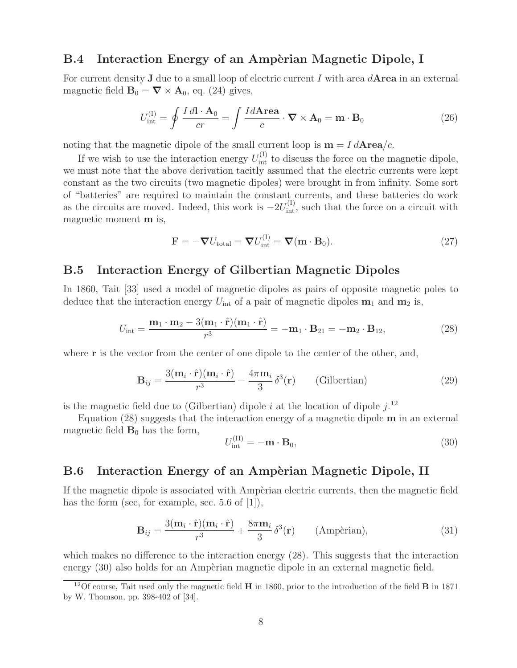## **B.4** Interaction Energy of an Ampèrian Magnetic Dipole, I

For current density **J** due to a small loop of electric current I with area d**Area** in an external magnetic field  $\mathbf{B}_0 = \nabla \times \mathbf{A}_0$ , eq. (24) gives,

$$
U_{\text{int}}^{(I)} = \oint \frac{I \, d\mathbf{l} \cdot \mathbf{A}_0}{cr} = \int \frac{Id \mathbf{Area}}{c} \cdot \mathbf{\nabla} \times \mathbf{A}_0 = \mathbf{m} \cdot \mathbf{B}_0 \tag{26}
$$

noting that the magnetic dipole of the small current loop is  $\mathbf{m} = I d \mathbf{Area}/c$ .

If we wish to use the interaction energy  $U_{int}^{(I)}$  to discuss the force on the magnetic dipole, we must note that the above derivation tacitly assumed that the electric currents were kept constant as the two circuits (two magnetic dipoles) were brought in from infinity. Some sort of "batteries" are required to maintain the constant currents, and these batteries do work as the circuits are moved. Indeed, this work is  $-2U_{int}^{(1)}$ , such that the force on a circuit with magnetic moment **m** is,

$$
\mathbf{F} = -\nabla U_{\text{total}} = \nabla U_{\text{int}}^{(1)} = \nabla (\mathbf{m} \cdot \mathbf{B}_0). \tag{27}
$$

### **B.5 Interaction Energy of Gilbertian Magnetic Dipoles**

In 1860, Tait [33] used a model of magnetic dipoles as pairs of opposite magnetic poles to deduce that the interaction energy  $U_{\text{int}}$  of a pair of magnetic dipoles  $\mathbf{m}_1$  and  $\mathbf{m}_2$  is,

$$
U_{\text{int}} = \frac{\mathbf{m}_1 \cdot \mathbf{m}_2 - 3(\mathbf{m}_1 \cdot \hat{\mathbf{r}})(\mathbf{m}_1 \cdot \hat{\mathbf{r}})}{r^3} = -\mathbf{m}_1 \cdot \mathbf{B}_{21} = -\mathbf{m}_2 \cdot \mathbf{B}_{12},\tag{28}
$$

where **r** is the vector from the center of one dipole to the center of the other, and,

$$
\mathbf{B}_{ij} = \frac{3(\mathbf{m}_i \cdot \hat{\mathbf{r}})(\mathbf{m}_i \cdot \hat{\mathbf{r}})}{r^3} - \frac{4\pi \mathbf{m}_i}{3} \delta^3(\mathbf{r}) \qquad \text{(Gilbertian)} \tag{29}
$$

is the magnetic field due to (Gilbertian) dipole i at the location of dipole  $j$ .<sup>12</sup>

Equation (28) suggests that the interaction energy of a magnetic dipole **m** in an external magnetic field  $\mathbf{B}_0$  has the form,

$$
U_{\text{int}}^{(\text{II})} = -\mathbf{m} \cdot \mathbf{B}_0,\tag{30}
$$

### **B.6** Interaction Energy of an Ampèrian Magnetic Dipole, II

If the magnetic dipole is associated with Ampèrian electric currents, then the magnetic field has the form (see, for example, sec. 5.6 of [1]),

$$
\mathbf{B}_{ij} = \frac{3(\mathbf{m}_i \cdot \hat{\mathbf{r}})(\mathbf{m}_i \cdot \hat{\mathbf{r}})}{r^3} + \frac{8\pi \mathbf{m}_i}{3} \delta^3(\mathbf{r}) \qquad \text{(Ampèrian)},\tag{31}
$$

which makes no difference to the interaction energy  $(28)$ . This suggests that the interaction energy  $(30)$  also holds for an Ampèrian magnetic dipole in an external magnetic field.

<sup>12</sup>Of course, Tait used only the magnetic field **H** in 1860, prior to the introduction of the field **B** in 1871 by W. Thomson, pp. 398-402 of [34].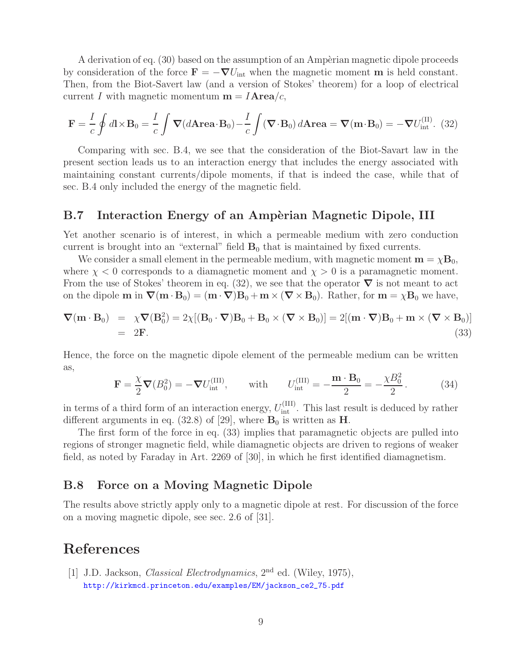A derivation of eq.  $(30)$  based on the assumption of an Ampèrian magnetic dipole proceeds by consideration of the force  $\mathbf{F} = -\nabla U_{\text{int}}$  when the magnetic moment **m** is held constant. Then, from the Biot-Savert law (and a version of Stokes' theorem) for a loop of electrical current I with magnetic momentum  $\mathbf{m} = I \mathbf{Area}/c$ ,

$$
\mathbf{F} = \frac{I}{c} \oint d\mathbf{l} \times \mathbf{B}_0 = \frac{I}{c} \int \mathbf{\nabla} (d\mathbf{Area} \cdot \mathbf{B}_0) - \frac{I}{c} \int (\mathbf{\nabla} \cdot \mathbf{B}_0) d\mathbf{Area} = \mathbf{\nabla} (\mathbf{m} \cdot \mathbf{B}_0) = -\mathbf{\nabla} U_{\text{int}}^{(\text{II})}.
$$
 (32)

Comparing with sec. B.4, we see that the consideration of the Biot-Savart law in the present section leads us to an interaction energy that includes the energy associated with maintaining constant currents/dipole moments, if that is indeed the case, while that of sec. B.4 only included the energy of the magnetic field.

## **B.7** Interaction Energy of an Ampèrian Magnetic Dipole, III

Yet another scenario is of interest, in which a permeable medium with zero conduction current is brought into an "external" field  $\mathbf{B}_0$  that is maintained by fixed currents.

We consider a small element in the permeable medium, with magnetic moment  $\mathbf{m} = \chi \mathbf{B}_0$ , where  $\chi < 0$  corresponds to a diamagnetic moment and  $\chi > 0$  is a paramagnetic moment. From the use of Stokes' theorem in eq. (32), we see that the operator  $\nabla$  is not meant to act on the dipole  $\mathbf{m}$  in  $\nabla(\mathbf{m} \cdot \mathbf{B}_0) = (\mathbf{m} \cdot \nabla) \mathbf{B}_0 + \mathbf{m} \times (\nabla \times \mathbf{B}_0)$ . Rather, for  $\mathbf{m} = \chi \mathbf{B}_0$  we have,

$$
\nabla(\mathbf{m} \cdot \mathbf{B}_0) = \chi \nabla (\mathbf{B}_0^2) = 2\chi [(\mathbf{B}_0 \cdot \nabla)\mathbf{B}_0 + \mathbf{B}_0 \times (\nabla \times \mathbf{B}_0)] = 2[(\mathbf{m} \cdot \nabla)\mathbf{B}_0 + \mathbf{m} \times (\nabla \times \mathbf{B}_0)]
$$
  
= 2F. (33)

Hence, the force on the magnetic dipole element of the permeable medium can be written as,

$$
\mathbf{F} = \frac{\chi}{2} \mathbf{\nabla} (B_0^2) = -\mathbf{\nabla} U_{\text{int}}^{(\text{III})}, \quad \text{with} \quad U_{\text{int}}^{(\text{III})} = -\frac{\mathbf{m} \cdot \mathbf{B}_0}{2} = -\frac{\chi B_0^2}{2}.
$$
 (34)

in terms of a third form of an interaction energy,  $U_{\text{int}}^{(III)}$ . This last result is deduced by rather different arguments in eq. (32.8) of [29], where  $\mathbf{B}_0$  is written as **H**.

The first form of the force in eq. (33) implies that paramagnetic objects are pulled into regions of stronger magnetic field, while diamagnetic objects are driven to regions of weaker field, as noted by Faraday in Art. 2269 of [30], in which he first identified diamagnetism.

### **B.8 Force on a Moving Magnetic Dipole**

The results above strictly apply only to a magnetic dipole at rest. For discussion of the force on a moving magnetic dipole, see sec. 2.6 of [31].

## **References**

[1] J.D. Jackson, *Classical Electrodynamics*, 2nd ed. (Wiley, 1975), http://kirkmcd.princeton.edu/examples/EM/jackson\_ce2\_75.pdf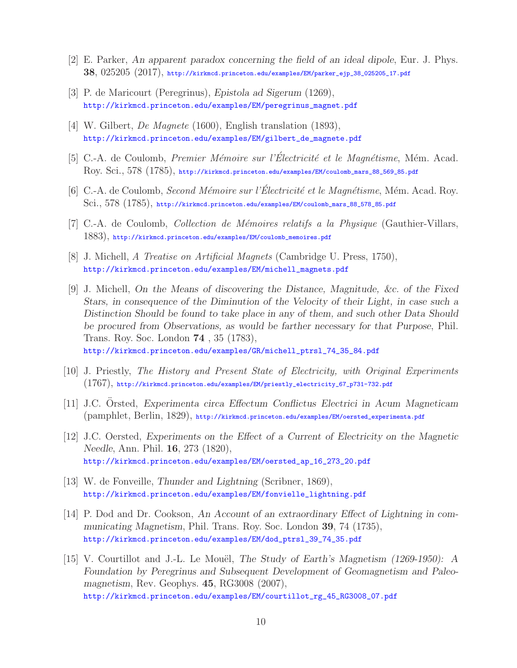- [2] E. Parker, *An apparent paradox concerning the field of an ideal dipole*, Eur. J. Phys. **38**, 025205 (2017), http://kirkmcd.princeton.edu/examples/EM/parker\_ejp\_38\_025205\_17.pdf
- [3] P. de Maricourt (Peregrinus), *Epistola ad Sigerum* (1269), http://kirkmcd.princeton.edu/examples/EM/peregrinus\_magnet.pdf
- [4] W. Gilbert, *De Magnete* (1600), English translation (1893), http://kirkmcd.princeton.edu/examples/EM/gilbert\_de\_magnete.pdf
- [5] C.-A. de Coulomb, *Premier Mémoire sur l'Électricité et le Magnétisme*, Mém. Acad. Roy. Sci., 578 (1785), http://kirkmcd.princeton.edu/examples/EM/coulomb\_mars\_88\_569\_85.pdf
- [6] C.-A. de Coulomb, *Second Mémoire sur l'Électricité et le Magnétisme*, Mém. Acad. Roy. Sci., 578 (1785), http://kirkmcd.princeton.edu/examples/EM/coulomb\_mars\_88\_578\_85.pdf
- [7] C.-A. de Coulomb, *Collection de M´emoires relatifs a la Physique* (Gauthier-Villars, 1883), http://kirkmcd.princeton.edu/examples/EM/coulomb\_memoires.pdf
- [8] J. Michell, *A Treatise on Artificial Magnets* (Cambridge U. Press, 1750), http://kirkmcd.princeton.edu/examples/EM/michell\_magnets.pdf
- [9] J. Michell, *On the Means of discovering the Distance, Magnitude, &c. of the Fixed Stars, in consequence of the Diminution of the Velocity of their Light, in case such a Distinction Should be found to take place in any of them, and such other Data Should be procured from Observations, as would be farther necessary for that Purpose*, Phil. Trans. Roy. Soc. London **74** , 35 (1783), http://kirkmcd.princeton.edu/examples/GR/michell\_ptrsl\_74\_35\_84.pdf
- [10] J. Priestly, *The History and Present State of Electricity, with Original Experiments* (1767), http://kirkmcd.princeton.edu/examples/EM/priestly\_electricity\_67\_p731-732.pdf
- [11] J.C. Orsted, *Experimenta circa Effectum Conflictus Electrici in Acum Magneticam* (pamphlet, Berlin, 1829), http://kirkmcd.princeton.edu/examples/EM/oersted\_experimenta.pdf
- [12] J.C. Oersted, *Experiments on the Effect of a Current of Electricity on the Magnetic Needle*, Ann. Phil. **16**, 273 (1820), http://kirkmcd.princeton.edu/examples/EM/oersted\_ap\_16\_273\_20.pdf
- [13] W. de Fonveille, *Thunder and Lightning* (Scribner, 1869), http://kirkmcd.princeton.edu/examples/EM/fonvielle\_lightning.pdf
- [14] P. Dod and Dr. Cookson, *An Account of an extraordinary Effect of Lightning in communicating Magnetism*, Phil. Trans. Roy. Soc. London **39**, 74 (1735), http://kirkmcd.princeton.edu/examples/EM/dod\_ptrsl\_39\_74\_35.pdf
- [15] V. Courtillot and J.-L. Le Mou¨el, *The Study of Earth's Magnetism (1269-1950): A Foundation by Peregrinus and Subsequent Development of Geomagnetism and Paleomagnetism*, Rev. Geophys. **45**, RG3008 (2007), http://kirkmcd.princeton.edu/examples/EM/courtillot\_rg\_45\_RG3008\_07.pdf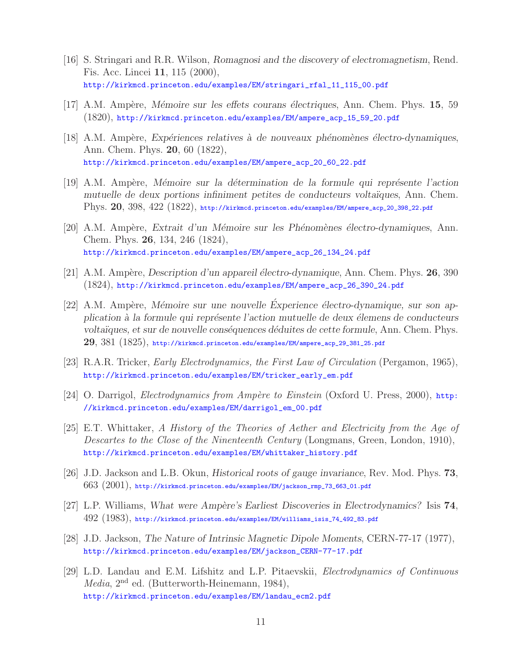- [16] S. Stringari and R.R. Wilson, *Romagnosi and the discovery of electromagnetism*, Rend. Fis. Acc. Lincei **11**, 115 (2000), http://kirkmcd.princeton.edu/examples/EM/stringari\_rfal\_11\_115\_00.pdf
- [17] A.M. Amp`ere, *M´emoire sur les effets courans ´electriques*, Ann. Chem. Phys. **15**, 59 (1820), http://kirkmcd.princeton.edu/examples/EM/ampere\_acp\_15\_59\_20.pdf
- [18] A.M. Amp`ere, *Exp´eriences relatives `a de nouveaux ph´enom`enes ´electro-dynamiques*, Ann. Chem. Phys. **20**, 60 (1822), http://kirkmcd.princeton.edu/examples/EM/ampere\_acp\_20\_60\_22.pdf
- [19] A.M. Amp`ere, *M´emoire sur la d´etermination de la formule qui repr´esente l'action mutuelle de deux portions infiniment petites de conducteurs volta¨ıques*, Ann. Chem. Phys. **20**, 398, 422 (1822), http://kirkmcd.princeton.edu/examples/EM/ampere\_acp\_20\_398\_22.pdf
- [20] A.M. Amp`ere, *Extrait d'un M´emoire sur les Ph´enom`enes ´electro-dynamiques*, Ann. Chem. Phys. **26**, 134, 246 (1824), http://kirkmcd.princeton.edu/examples/EM/ampere\_acp\_26\_134\_24.pdf
- [21] A.M. Ampère, *Description d'un appareil électro-dynamique*, Ann. Chem. Phys. **26**, 390 (1824), http://kirkmcd.princeton.edu/examples/EM/ampere\_acp\_26\_390\_24.pdf
- [22] A.M. Ampère, *Mémoire sur une nouvelle Experience électro-dynamique, sur son application `a la formule qui repr´esente l'action mutuelle de deux ´elemens de conducteurs voltaïques, et sur de nouvelle conséquences déduites de cette formule, Ann. Chem. Phys.* **29**, 381 (1825), http://kirkmcd.princeton.edu/examples/EM/ampere\_acp\_29\_381\_25.pdf
- [23] R.A.R. Tricker, *Early Electrodynamics, the First Law of Circulation* (Pergamon, 1965), http://kirkmcd.princeton.edu/examples/EM/tricker\_early\_em.pdf
- [24] O. Darrigol, *Electrodynamics from Ampère to Einstein* (Oxford U. Press, 2000), http: //kirkmcd.princeton.edu/examples/EM/darrigol\_em\_00.pdf
- [25] E.T. Whittaker, *A History of the Theories of Aether and Electricity from the Age of Descartes to the Close of the Ninenteenth Century* (Longmans, Green, London, 1910), http://kirkmcd.princeton.edu/examples/EM/whittaker\_history.pdf
- [26] J.D. Jackson and L.B. Okun, *Historical roots of gauge invariance*, Rev. Mod. Phys. **73**,  $663$   $(2001)$ , http://kirkmcd.princeton.edu/examples/EM/jackson\_rmp\_73\_663\_01.pdf
- [27] L.P. Williams, *What were Amp`ere's Earliest Discoveries in Electrodynamics?* Isis **74**, 492 (1983), http://kirkmcd.princeton.edu/examples/EM/williams\_isis\_74\_492\_83.pdf
- [28] J.D. Jackson, *The Nature of Intrinsic Magnetic Dipole Moments*, CERN-77-17 (1977), http://kirkmcd.princeton.edu/examples/EM/jackson\_CERN-77-17.pdf
- [29] L.D. Landau and E.M. Lifshitz and L.P. Pitaevskii, *Electrodynamics of Continuous Media*, 2<sup>nd</sup> ed. (Butterworth-Heinemann, 1984), http://kirkmcd.princeton.edu/examples/EM/landau\_ecm2.pdf